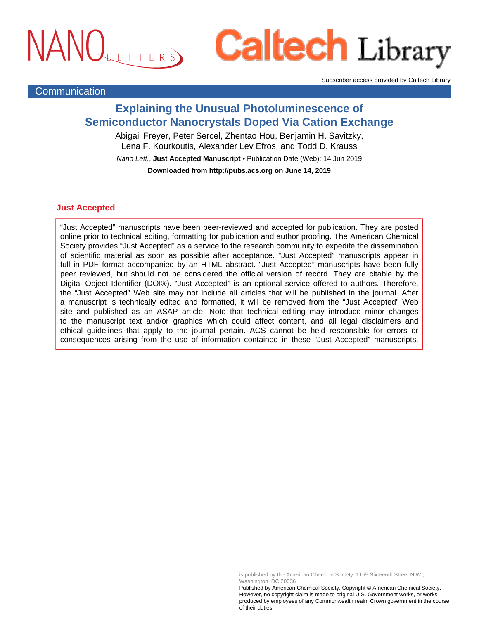# NANOLETTERS

# **Caltech Library**

Subscriber access provided by Caltech Library

# **Communication**

# **Explaining the Unusual Photoluminescence of Semiconductor Nanocrystals Doped Via Cation Exchange**

Abigail Freyer, Peter Sercel, Zhentao Hou, Benjamin H. Savitzky, Lena F. Kourkoutis, Alexander Lev Efros, and Todd D. Krauss Nano Lett., **Just Accepted Manuscript** • Publication Date (Web): 14 Jun 2019 **Downloaded from http://pubs.acs.org on June 14, 2019**

## **Just Accepted**

"Just Accepted" manuscripts have been peer-reviewed and accepted for publication. They are posted online prior to technical editing, formatting for publication and author proofing. The American Chemical Society provides "Just Accepted" as a service to the research community to expedite the dissemination of scientific material as soon as possible after acceptance. "Just Accepted" manuscripts appear in full in PDF format accompanied by an HTML abstract. "Just Accepted" manuscripts have been fully peer reviewed, but should not be considered the official version of record. They are citable by the Digital Object Identifier (DOI®). "Just Accepted" is an optional service offered to authors. Therefore, the "Just Accepted" Web site may not include all articles that will be published in the journal. After a manuscript is technically edited and formatted, it will be removed from the "Just Accepted" Web site and published as an ASAP article. Note that technical editing may introduce minor changes to the manuscript text and/or graphics which could affect content, and all legal disclaimers and ethical guidelines that apply to the journal pertain. ACS cannot be held responsible for errors or consequences arising from the use of information contained in these "Just Accepted" manuscripts.

> is published by the American Chemical Society. 1155 Sixteenth Street N.W., Washington, DC 20036

Published by American Chemical Society. Copyright © American Chemical Society. However, no copyright claim is made to original U.S. Government works, or works produced by employees of any Commonwealth realm Crown government in the course of their duties.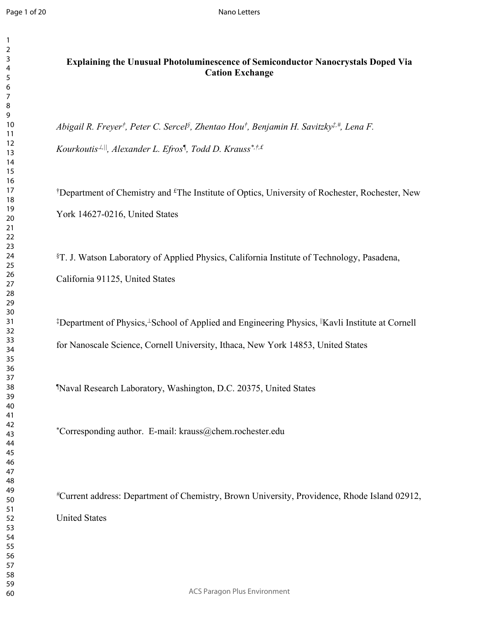## **Explaining the Unusual Photoluminescence of Semiconductor Nanocrystals Doped Via Cation Exchange**

*Abigail R. Freyer† , Peter C. Sercel§ , Zhentao Hou† , Benjamin H. Savitzky‡,#, Lena F.* 

*Kourkoutis,||, Alexander L. Efros¶ , Todd D. Krauss\*,†,£*

<sup>†</sup>Department of Chemistry and <sup>£</sup>The Institute of Optics, University of Rochester, Rochester, New York 14627-0216, United States

§T. J. Watson Laboratory of Applied Physics, California Institute of Technology, Pasadena, California 91125, United States

<sup>‡</sup>Department of Physics,<sup>⊥</sup>School of Applied and Engineering Physics, <sup>||</sup>Kavli Institute at Cornell for Nanoscale Science, Cornell University, Ithaca, New York 14853, United States

¶Naval Research Laboratory, Washington, D.C. 20375, United States

\*Corresponding author. E-mail: krauss@chem.rochester.edu

*#*Current address: Department of Chemistry, Brown University, Providence, Rhode Island 02912, United States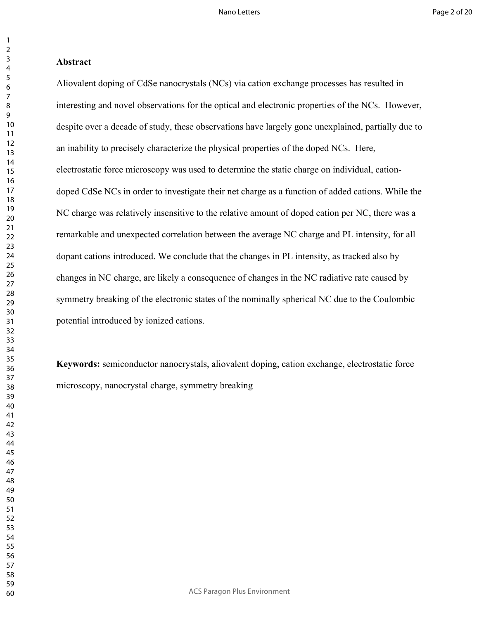### **Abstract**

Aliovalent doping of CdSe nanocrystals (NCs) via cation exchange processes has resulted in interesting and novel observations for the optical and electronic properties of the NCs. However, despite over a decade of study, these observations have largely gone unexplained, partially due to an inability to precisely characterize the physical properties of the doped NCs. Here, electrostatic force microscopy was used to determine the static charge on individual, cationdoped CdSe NCs in order to investigate their net charge as a function of added cations. While the NC charge was relatively insensitive to the relative amount of doped cation per NC, there was a remarkable and unexpected correlation between the average NC charge and PL intensity, for all dopant cations introduced. We conclude that the changes in PL intensity, as tracked also by changes in NC charge, are likely a consequence of changes in the NC radiative rate caused by symmetry breaking of the electronic states of the nominally spherical NC due to the Coulombic potential introduced by ionized cations.

**Keywords:** semiconductor nanocrystals, aliovalent doping, cation exchange, electrostatic force microscopy, nanocrystal charge, symmetry breaking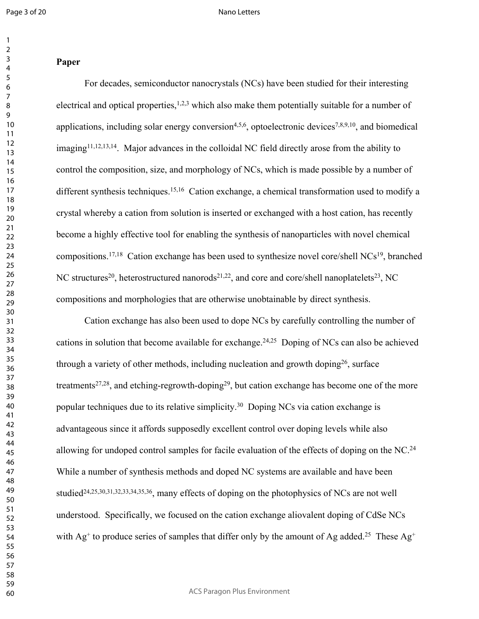#### Nano Letters

### 

## **Paper**

For decades, semiconductor nanocrystals (NCs) have been studied for their interesting electrical and optical properties,  $1,2,3$  which also make them potentially suitable for a number of applications, including solar energy conversion<sup>4,5,6</sup>, optoelectronic devices<sup>7,8,9,10</sup>, and biomedical imaging11,12,13,14. Major advances in the colloidal NC field directly arose from the ability to control the composition, size, and morphology of NCs, which is made possible by a number of different synthesis techniques.<sup>15,16</sup> Cation exchange, a chemical transformation used to modify a crystal whereby a cation from solution is inserted or exchanged with a host cation, has recently become a highly effective tool for enabling the synthesis of nanoparticles with novel chemical compositions.17,18 Cation exchange has been used to synthesize novel core/shell NCs<sup>19</sup>, branched NC structures<sup>20</sup>, heterostructured nanorods<sup>21,22</sup>, and core and core/shell nanoplatelets<sup>23</sup>, NC compositions and morphologies that are otherwise unobtainable by direct synthesis.

Cation exchange has also been used to dope NCs by carefully controlling the number of cations in solution that become available for exchange.<sup>24,25</sup> Doping of NCs can also be achieved through a variety of other methods, including nucleation and growth doping<sup>26</sup>, surface treatments<sup>27,28</sup>, and etching-regrowth-doping<sup>29</sup>, but cation exchange has become one of the more popular techniques due to its relative simplicity.<sup>30</sup> Doping NCs via cation exchange is advantageous since it affords supposedly excellent control over doping levels while also allowing for undoped control samples for facile evaluation of the effects of doping on the NC.<sup>24</sup> While a number of synthesis methods and doped NC systems are available and have been studied<sup>24,25,30,31,32,33,34,35,36</sup>, many effects of doping on the photophysics of NCs are not well understood. Specifically, we focused on the cation exchange aliovalent doping of CdSe NCs with Ag<sup>+</sup> to produce series of samples that differ only by the amount of Ag added.<sup>25</sup> These Ag<sup>+</sup>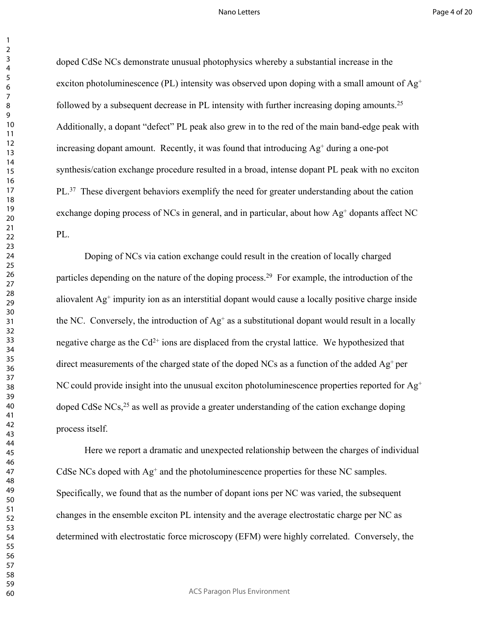doped CdSe NCs demonstrate unusual photophysics whereby a substantial increase in the exciton photoluminescence (PL) intensity was observed upon doping with a small amount of  $Ag^+$ followed by a subsequent decrease in PL intensity with further increasing doping amounts.<sup>25</sup> Additionally, a dopant "defect" PL peak also grew in to the red of the main band-edge peak with increasing dopant amount. Recently, it was found that introducing Ag<sup>+</sup> during a one-pot synthesis/cation exchange procedure resulted in a broad, intense dopant PL peak with no exciton PL.<sup>37</sup> These divergent behaviors exemplify the need for greater understanding about the cation exchange doping process of NCs in general, and in particular, about how Ag<sup>+</sup> dopants affect NC PL.

Doping of NCs via cation exchange could result in the creation of locally charged particles depending on the nature of the doping process.<sup>29</sup> For example, the introduction of the aliovalent Ag<sup>+</sup> impurity ion as an interstitial dopant would cause a locally positive charge inside the NC. Conversely, the introduction of  $Ag^+$  as a substitutional dopant would result in a locally negative charge as the  $Cd^{2+}$  ions are displaced from the crystal lattice. We hypothesized that direct measurements of the charged state of the doped NCs as a function of the added  $Ag<sup>+</sup>$  per NC could provide insight into the unusual exciton photoluminescence properties reported for  $Ag^+$ doped CdSe NCs,<sup>25</sup> as well as provide a greater understanding of the cation exchange doping process itself.

Here we report a dramatic and unexpected relationship between the charges of individual CdSe NCs doped with Ag<sup>+</sup> and the photoluminescence properties for these NC samples. Specifically, we found that as the number of dopant ions per NC was varied, the subsequent changes in the ensemble exciton PL intensity and the average electrostatic charge per NC as determined with electrostatic force microscopy (EFM) were highly correlated. Conversely, the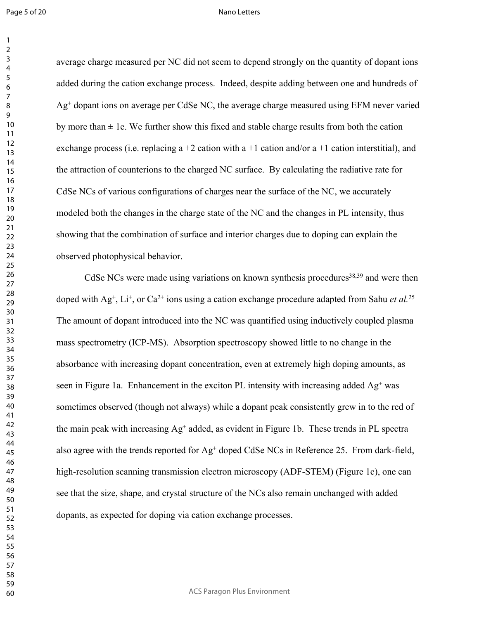Page 5 of 20

#### Nano Letters

average charge measured per NC did not seem to depend strongly on the quantity of dopant ions added during the cation exchange process. Indeed, despite adding between one and hundreds of Ag<sup>+</sup> dopant ions on average per CdSe NC, the average charge measured using EFM never varied by more than  $\pm$  1e. We further show this fixed and stable charge results from both the cation exchange process (i.e. replacing a  $+2$  cation with a  $+1$  cation and/or a  $+1$  cation interstitial), and the attraction of counterions to the charged NC surface. By calculating the radiative rate for CdSe NCs of various configurations of charges near the surface of the NC, we accurately modeled both the changes in the charge state of the NC and the changes in PL intensity, thus showing that the combination of surface and interior charges due to doping can explain the observed photophysical behavior.

CdSe NCs were made using variations on known synthesis procedures<sup>38,39</sup> and were then doped with Ag<sup>+</sup>, Li<sup>+</sup>, or Ca<sup>2+</sup> ions using a cation exchange procedure adapted from Sahu *et al.*<sup>25</sup> The amount of dopant introduced into the NC was quantified using inductively coupled plasma mass spectrometry (ICP-MS). Absorption spectroscopy showed little to no change in the absorbance with increasing dopant concentration, even at extremely high doping amounts, as seen in Figure 1a. Enhancement in the exciton PL intensity with increasing added Ag<sup>+</sup> was sometimes observed (though not always) while a dopant peak consistently grew in to the red of the main peak with increasing Ag<sup>+</sup> added, as evident in Figure 1b. These trends in PL spectra also agree with the trends reported for Ag<sup>+</sup> doped CdSe NCs in Reference 25. From dark-field, high-resolution scanning transmission electron microscopy (ADF-STEM) (Figure 1c), one can see that the size, shape, and crystal structure of the NCs also remain unchanged with added dopants, as expected for doping via cation exchange processes.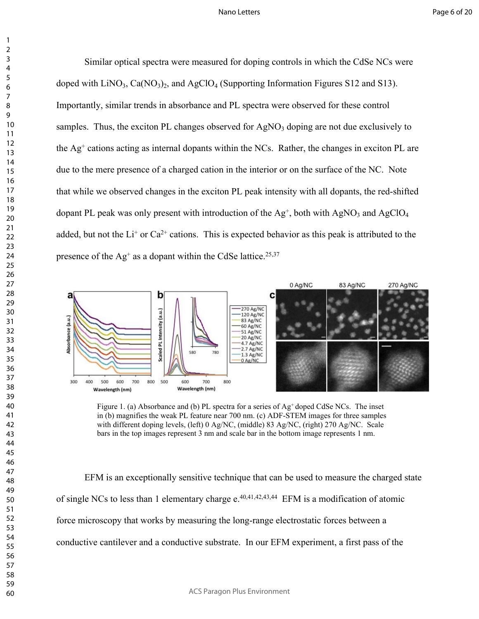Similar optical spectra were measured for doping controls in which the CdSe NCs were doped with  $\text{LiNO}_3$ , Ca(NO<sub>3</sub>)<sub>2</sub>, and AgClO<sub>4</sub> (Supporting Information Figures S12 and S13). Importantly, similar trends in absorbance and PL spectra were observed for these control samples. Thus, the exciton PL changes observed for  $AgNO<sub>3</sub>$  doping are not due exclusively to the Ag<sup>+</sup> cations acting as internal dopants within the NCs. Rather, the changes in exciton PL are due to the mere presence of a charged cation in the interior or on the surface of the NC. Note that while we observed changes in the exciton PL peak intensity with all dopants, the red-shifted dopant PL peak was only present with introduction of the  $Ag^+$ , both with  $AgNO_3$  and  $AgClO_4$ added, but not the  $Li^+$  or  $Ca^{2+}$  cations. This is expected behavior as this peak is attributed to the presence of the  $\text{Ag}^+$  as a dopant within the CdSe lattice.<sup>25,37</sup>



Figure 1. (a) Absorbance and (b) PL spectra for a series of  $Ag<sup>+</sup>$  doped CdSe NCs. The inset in (b) magnifies the weak PL feature near 700 nm. (c) ADF-STEM images for three samples with different doping levels, (left) 0 Ag/NC, (middle) 83 Ag/NC, (right) 270 Ag/NC. Scale bars in the top images represent 3 nm and scale bar in the bottom image represents 1 nm.

EFM is an exceptionally sensitive technique that can be used to measure the charged state of single NCs to less than 1 elementary charge  $e^{40,41,42,43,44}$  EFM is a modification of atomic force microscopy that works by measuring the long-range electrostatic forces between a conductive cantilever and a conductive substrate. In our EFM experiment, a first pass of the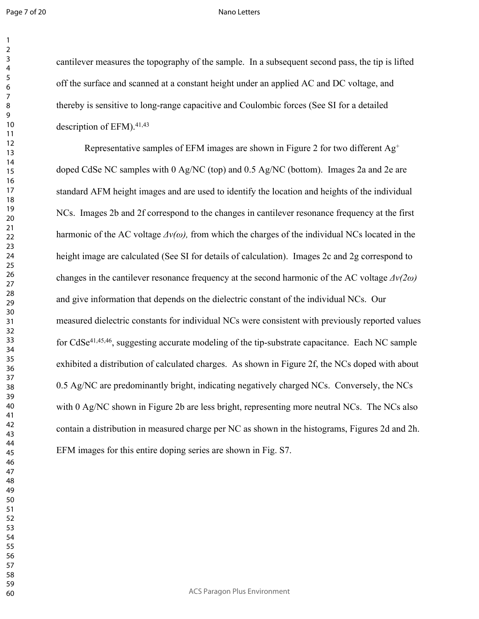#### Nano Letters

cantilever measures the topography of the sample. In a subsequent second pass, the tip is lifted off the surface and scanned at a constant height under an applied AC and DC voltage, and thereby is sensitive to long-range capacitive and Coulombic forces (See SI for a detailed description of EFM).<sup>41,43</sup>

Representative samples of EFM images are shown in Figure 2 for two different  $Ag^+$ doped CdSe NC samples with 0 Ag/NC (top) and 0.5 Ag/NC (bottom). Images 2a and 2e are standard AFM height images and are used to identify the location and heights of the individual NCs. Images 2b and 2f correspond to the changes in cantilever resonance frequency at the first harmonic of the AC voltage  $\Delta v(\omega)$ , from which the charges of the individual NCs located in the height image are calculated (See SI for details of calculation). Images 2c and 2g correspond to changes in the cantilever resonance frequency at the second harmonic of the AC voltage *Δν(2ω)* and give information that depends on the dielectric constant of the individual NCs. Our measured dielectric constants for individual NCs were consistent with previously reported values for CdSe<sup>41,45,46</sup>, suggesting accurate modeling of the tip-substrate capacitance. Each NC sample exhibited a distribution of calculated charges. As shown in Figure 2f, the NCs doped with about 0.5 Ag/NC are predominantly bright, indicating negatively charged NCs. Conversely, the NCs with 0 Ag/NC shown in Figure 2b are less bright, representing more neutral NCs. The NCs also contain a distribution in measured charge per NC as shown in the histograms, Figures 2d and 2h. EFM images for this entire doping series are shown in Fig. S7.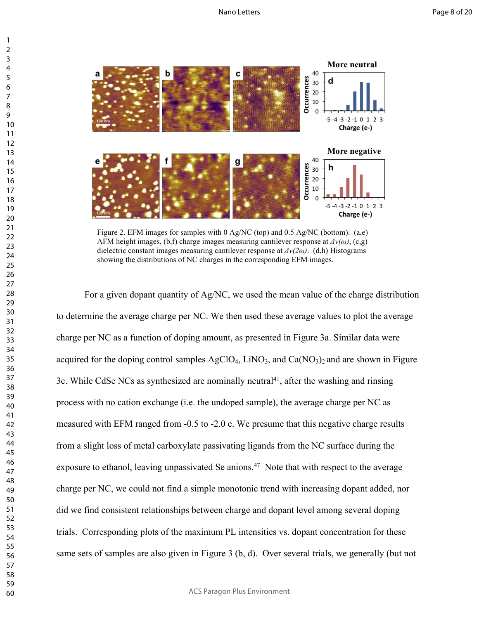

Figure 2. EFM images for samples with 0 Ag/NC (top) and 0.5 Ag/NC (bottom). (a,e) AFM height images,  $(b,f)$  charge images measuring cantilever response at  $\Delta v(\omega)$ , (c,g) dielectric constant images measuring cantilever response at *Δν(2ω)*. (d,h) Histograms showing the distributions of NC charges in the corresponding EFM images.

For a given dopant quantity of Ag/NC, we used the mean value of the charge distribution to determine the average charge per NC. We then used these average values to plot the average charge per NC as a function of doping amount, as presented in Figure 3a. Similar data were acquired for the doping control samples  $AgClO<sub>4</sub>$ , LiNO<sub>3</sub>, and Ca(NO<sub>3</sub>)<sub>2</sub> and are shown in Figure 3c. While CdSe NCs as synthesized are nominally neutral<sup>41</sup>, after the washing and rinsing process with no cation exchange (i.e. the undoped sample), the average charge per NC as measured with EFM ranged from -0.5 to -2.0 e. We presume that this negative charge results from a slight loss of metal carboxylate passivating ligands from the NC surface during the exposure to ethanol, leaving unpassivated Se anions.<sup>47</sup> Note that with respect to the average charge per NC, we could not find a simple monotonic trend with increasing dopant added, nor did we find consistent relationships between charge and dopant level among several doping trials. Corresponding plots of the maximum PL intensities vs. dopant concentration for these same sets of samples are also given in Figure 3 (b, d). Over several trials, we generally (but not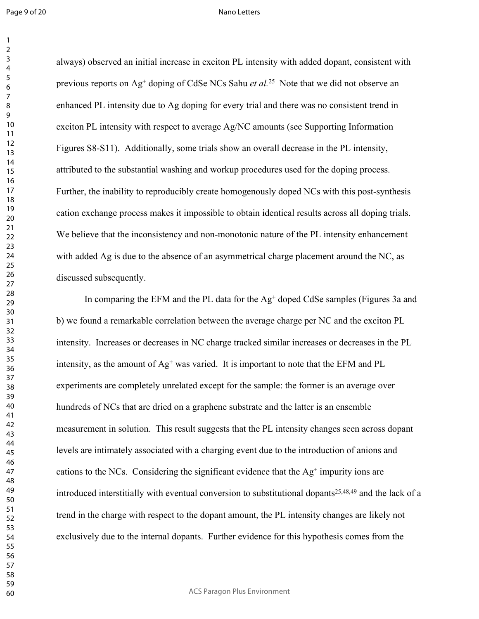Page 9 of 20

#### Nano Letters

always) observed an initial increase in exciton PL intensity with added dopant, consistent with previous reports on Ag<sup>+</sup> doping of CdSe NCs Sahu *et al.*<sup>25</sup> Note that we did not observe an enhanced PL intensity due to Ag doping for every trial and there was no consistent trend in exciton PL intensity with respect to average Ag/NC amounts (see Supporting Information Figures S8-S11). Additionally, some trials show an overall decrease in the PL intensity, attributed to the substantial washing and workup procedures used for the doping process. Further, the inability to reproducibly create homogenously doped NCs with this post-synthesis cation exchange process makes it impossible to obtain identical results across all doping trials. We believe that the inconsistency and non-monotonic nature of the PL intensity enhancement with added Ag is due to the absence of an asymmetrical charge placement around the NC, as discussed subsequently.

In comparing the EFM and the PL data for the Ag<sup>+</sup> doped CdSe samples (Figures 3a and b) we found a remarkable correlation between the average charge per NC and the exciton PL intensity. Increases or decreases in NC charge tracked similar increases or decreases in the PL intensity, as the amount of Ag<sup>+</sup> was varied. It is important to note that the EFM and PL experiments are completely unrelated except for the sample: the former is an average over hundreds of NCs that are dried on a graphene substrate and the latter is an ensemble measurement in solution. This result suggests that the PL intensity changes seen across dopant levels are intimately associated with a charging event due to the introduction of anions and cations to the NCs. Considering the significant evidence that the  $Ag<sup>+</sup>$  impurity ions are introduced interstitially with eventual conversion to substitutional dopants<sup>25,48,49</sup> and the lack of a trend in the charge with respect to the dopant amount, the PL intensity changes are likely not exclusively due to the internal dopants. Further evidence for this hypothesis comes from the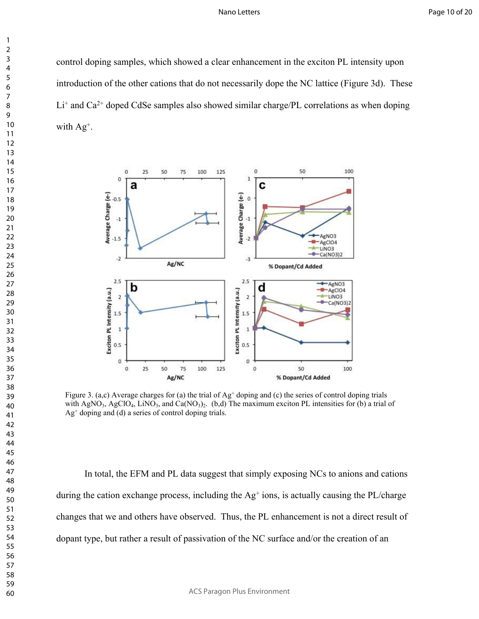control doping samples, which showed a clear enhancement in the exciton PL intensity upon introduction of the other cations that do not necessarily dope the NC lattice (Figure 3d). These  $Li<sup>+</sup>$  and Ca<sup>2+</sup> doped CdSe samples also showed similar charge/PL correlations as when doping with Ag<sup>+</sup>.



Figure 3. (a,c) Average charges for (a) the trial of  $\text{Ag}^+$  doping and (c) the series of control doping trials with AgNO<sub>3</sub>, AgClO<sub>4</sub>, LiNO<sub>3</sub>, and Ca(NO<sub>3</sub>)<sub>2</sub>. (b,d) The maximum exciton PL intensities for (b) a trial of Ag<sup>+</sup> doping and (d) a series of control doping trials.

In total, the EFM and PL data suggest that simply exposing NCs to anions and cations during the cation exchange process, including the Ag<sup>+</sup> ions, is actually causing the PL/charge changes that we and others have observed. Thus, the PL enhancement is not a direct result of dopant type, but rather a result of passivation of the NC surface and/or the creation of an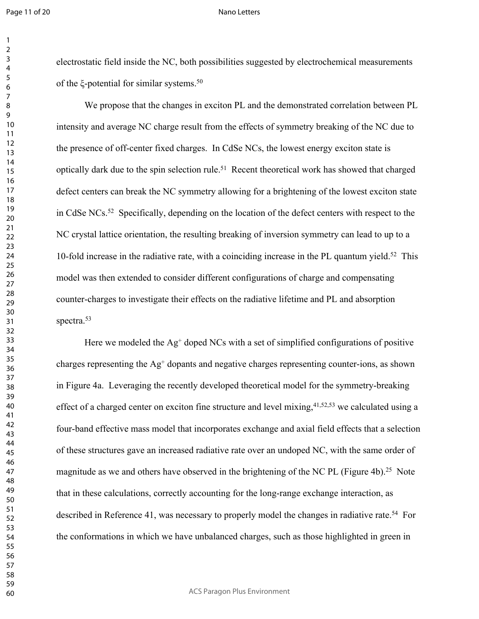#### Nano Letters

electrostatic field inside the NC, both possibilities suggested by electrochemical measurements of the ξ-potential for similar systems.<sup>50</sup>

We propose that the changes in exciton PL and the demonstrated correlation between PL intensity and average NC charge result from the effects of symmetry breaking of the NC due to the presence of off-center fixed charges. In CdSe NCs, the lowest energy exciton state is optically dark due to the spin selection rule.<sup>51</sup> Recent theoretical work has showed that charged defect centers can break the NC symmetry allowing for a brightening of the lowest exciton state in CdSe NCs.<sup>52</sup> Specifically, depending on the location of the defect centers with respect to the NC crystal lattice orientation, the resulting breaking of inversion symmetry can lead to up to a 10-fold increase in the radiative rate, with a coinciding increase in the PL quantum yield.<sup>52</sup> This model was then extended to consider different configurations of charge and compensating counter-charges to investigate their effects on the radiative lifetime and PL and absorption spectra.<sup>53</sup>

Here we modeled the  $Ag^+$  doped NCs with a set of simplified configurations of positive charges representing the Ag<sup>+</sup> dopants and negative charges representing counter-ions, as shown in Figure 4a. Leveraging the recently developed theoretical model for the symmetry-breaking effect of a charged center on exciton fine structure and level mixing,  $41,52,53$  we calculated using a four-band effective mass model that incorporates exchange and axial field effects that a selection of these structures gave an increased radiative rate over an undoped NC, with the same order of magnitude as we and others have observed in the brightening of the NC PL (Figure 4b).<sup>25</sup> Note that in these calculations, correctly accounting for the long-range exchange interaction, as described in Reference 41, was necessary to properly model the changes in radiative rate.<sup>54</sup> For the conformations in which we have unbalanced charges, such as those highlighted in green in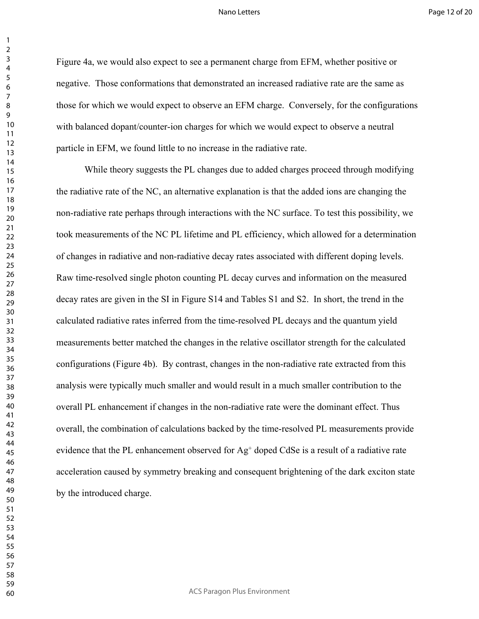Figure 4a, we would also expect to see a permanent charge from EFM, whether positive or negative. Those conformations that demonstrated an increased radiative rate are the same as those for which we would expect to observe an EFM charge. Conversely, for the configurations with balanced dopant/counter-ion charges for which we would expect to observe a neutral particle in EFM, we found little to no increase in the radiative rate.

While theory suggests the PL changes due to added charges proceed through modifying the radiative rate of the NC, an alternative explanation is that the added ions are changing the non-radiative rate perhaps through interactions with the NC surface. To test this possibility, we took measurements of the NC PL lifetime and PL efficiency, which allowed for a determination of changes in radiative and non-radiative decay rates associated with different doping levels. Raw time-resolved single photon counting PL decay curves and information on the measured decay rates are given in the SI in Figure S14 and Tables S1 and S2. In short, the trend in the calculated radiative rates inferred from the time-resolved PL decays and the quantum yield measurements better matched the changes in the relative oscillator strength for the calculated configurations (Figure 4b). By contrast, changes in the non-radiative rate extracted from this analysis were typically much smaller and would result in a much smaller contribution to the overall PL enhancement if changes in the non-radiative rate were the dominant effect. Thus overall, the combination of calculations backed by the time-resolved PL measurements provide evidence that the PL enhancement observed for Ag<sup>+</sup> doped CdSe is a result of a radiative rate acceleration caused by symmetry breaking and consequent brightening of the dark exciton state by the introduced charge.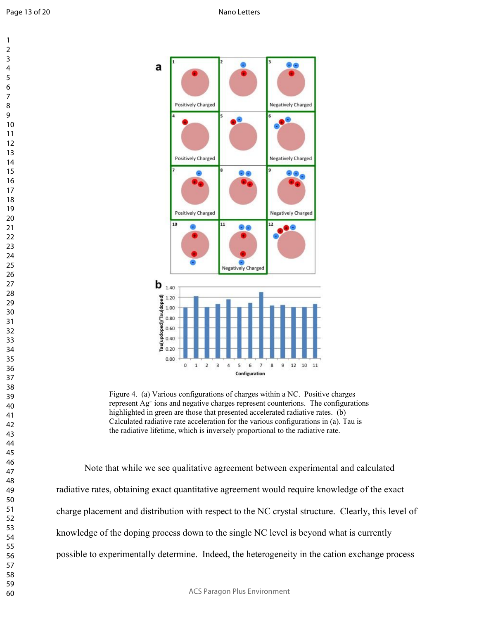

Figure 4. (a) Various configurations of charges within a NC. Positive charges represent Ag<sup>+</sup> ions and negative charges represent counterions. The configurations highlighted in green are those that presented accelerated radiative rates. (b) Calculated radiative rate acceleration for the various configurations in (a). Tau is the radiative lifetime, which is inversely proportional to the radiative rate.

Note that while we see qualitative agreement between experimental and calculated radiative rates, obtaining exact quantitative agreement would require knowledge of the exact charge placement and distribution with respect to the NC crystal structure. Clearly, this level of knowledge of the doping process down to the single NC level is beyond what is currently possible to experimentally determine. Indeed, the heterogeneity in the cation exchange process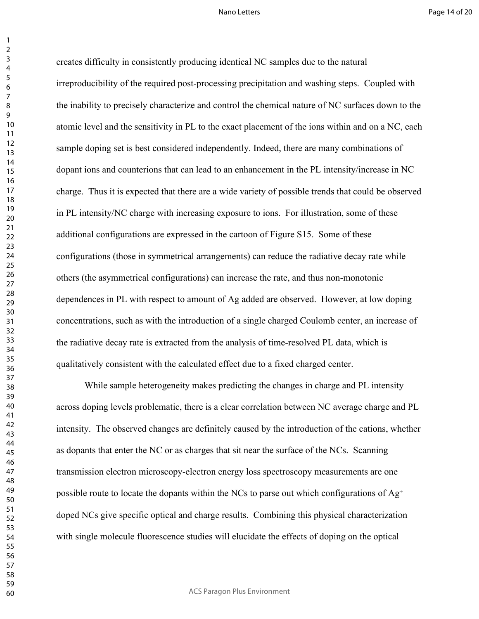creates difficulty in consistently producing identical NC samples due to the natural irreproducibility of the required post-processing precipitation and washing steps. Coupled with the inability to precisely characterize and control the chemical nature of NC surfaces down to the atomic level and the sensitivity in PL to the exact placement of the ions within and on a NC, each sample doping set is best considered independently. Indeed, there are many combinations of dopant ions and counterions that can lead to an enhancement in the PL intensity/increase in NC charge. Thus it is expected that there are a wide variety of possible trends that could be observed in PL intensity/NC charge with increasing exposure to ions. For illustration, some of these additional configurations are expressed in the cartoon of Figure S15. Some of these configurations (those in symmetrical arrangements) can reduce the radiative decay rate while others (the asymmetrical configurations) can increase the rate, and thus non-monotonic dependences in PL with respect to amount of Ag added are observed. However, at low doping concentrations, such as with the introduction of a single charged Coulomb center, an increase of the radiative decay rate is extracted from the analysis of time-resolved PL data, which is qualitatively consistent with the calculated effect due to a fixed charged center.

While sample heterogeneity makes predicting the changes in charge and PL intensity across doping levels problematic, there is a clear correlation between NC average charge and PL intensity. The observed changes are definitely caused by the introduction of the cations, whether as dopants that enter the NC or as charges that sit near the surface of the NCs. Scanning transmission electron microscopy-electron energy loss spectroscopy measurements are one possible route to locate the dopants within the NCs to parse out which configurations of  $Ag^+$ doped NCs give specific optical and charge results. Combining this physical characterization with single molecule fluorescence studies will elucidate the effects of doping on the optical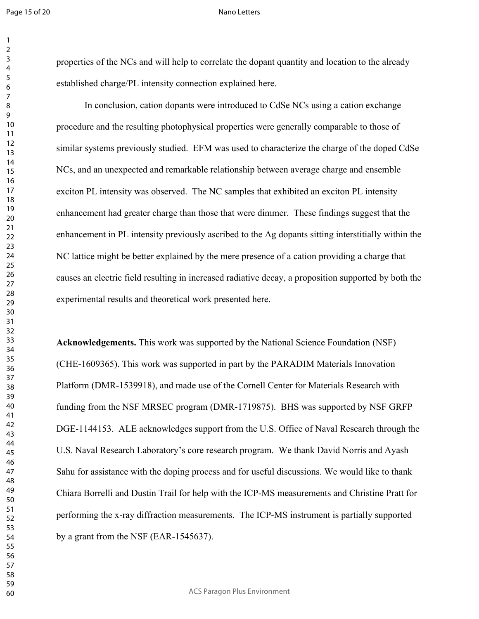#### Nano Letters

properties of the NCs and will help to correlate the dopant quantity and location to the already established charge/PL intensity connection explained here.

In conclusion, cation dopants were introduced to CdSe NCs using a cation exchange procedure and the resulting photophysical properties were generally comparable to those of similar systems previously studied. EFM was used to characterize the charge of the doped CdSe NCs, and an unexpected and remarkable relationship between average charge and ensemble exciton PL intensity was observed. The NC samples that exhibited an exciton PL intensity enhancement had greater charge than those that were dimmer. These findings suggest that the enhancement in PL intensity previously ascribed to the Ag dopants sitting interstitially within the NC lattice might be better explained by the mere presence of a cation providing a charge that causes an electric field resulting in increased radiative decay, a proposition supported by both the experimental results and theoretical work presented here.

**Acknowledgements.** This work was supported by the National Science Foundation (NSF) (CHE-1609365). This work was supported in part by the PARADIM Materials Innovation Platform (DMR-1539918), and made use of the Cornell Center for Materials Research with funding from the NSF MRSEC program (DMR-1719875). BHS was supported by NSF GRFP DGE-1144153. ALE acknowledges support from the U.S. Office of Naval Research through the U.S. Naval Research Laboratory's core research program. We thank David Norris and Ayash Sahu for assistance with the doping process and for useful discussions. We would like to thank Chiara Borrelli and Dustin Trail for help with the ICP-MS measurements and Christine Pratt for performing the x-ray diffraction measurements. The ICP-MS instrument is partially supported by a grant from the NSF (EAR-1545637).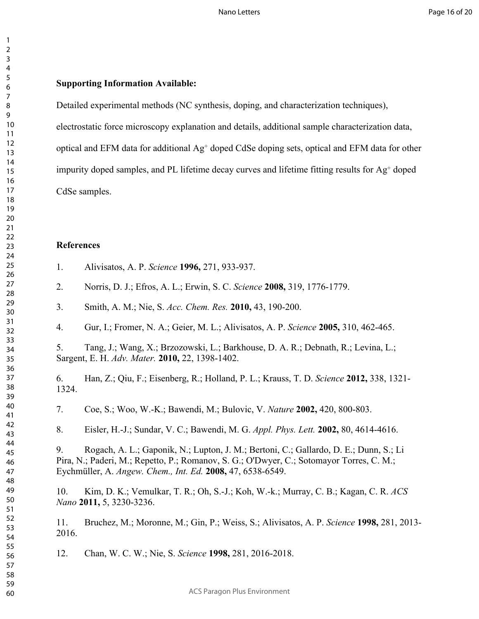# **Supporting Information Available:**

Detailed experimental methods (NC synthesis, doping, and characterization techniques),

electrostatic force microscopy explanation and details, additional sample characterization data,

optical and EFM data for additional Ag<sup>+</sup> doped CdSe doping sets, optical and EFM data for other

impurity doped samples, and PL lifetime decay curves and lifetime fitting results for Ag<sup>+</sup> doped

CdSe samples.

## **References**

- 1. Alivisatos, A. P. *Science* **1996,** 271, 933-937.
- 2. Norris, D. J.; Efros, A. L.; Erwin, S. C. *Science* **2008,** 319, 1776-1779.
- 3. Smith, A. M.; Nie, S. *Acc. Chem. Res.* **2010,** 43, 190-200.
- 4. Gur, I.; Fromer, N. A.; Geier, M. L.; Alivisatos, A. P. *Science* **2005,** 310, 462-465.

5. Tang, J.; Wang, X.; Brzozowski, L.; Barkhouse, D. A. R.; Debnath, R.; Levina, L.; Sargent, E. H. *Adv. Mater.* **2010,** 22, 1398-1402.

6. Han, Z.; Qiu, F.; Eisenberg, R.; Holland, P. L.; Krauss, T. D. *Science* **2012,** 338, 1321- 1324.

7. Coe, S.; Woo, W.-K.; Bawendi, M.; Bulovic, V. *Nature* **2002,** 420, 800-803.

8. Eisler, H.-J.; Sundar, V. C.; Bawendi, M. G. *Appl. Phys. Lett.* **2002,** 80, 4614-4616.

9. Rogach, A. L.; Gaponik, N.; Lupton, J. M.; Bertoni, C.; Gallardo, D. E.; Dunn, S.; Li Pira, N.; Paderi, M.; Repetto, P.; Romanov, S. G.; O'Dwyer, C.; Sotomayor Torres, C. M.; Eychmüller, A. *Angew. Chem., Int. Ed.* **2008,** 47, 6538-6549.

10. Kim, D. K.; Vemulkar, T. R.; Oh, S.-J.; Koh, W.-k.; Murray, C. B.; Kagan, C. R. *ACS Nano* **2011,** 5, 3230-3236.

11. Bruchez, M.; Moronne, M.; Gin, P.; Weiss, S.; Alivisatos, A. P. *Science* **1998,** 281, 2013- 2016.

12. Chan, W. C. W.; Nie, S. *Science* **1998,** 281, 2016-2018.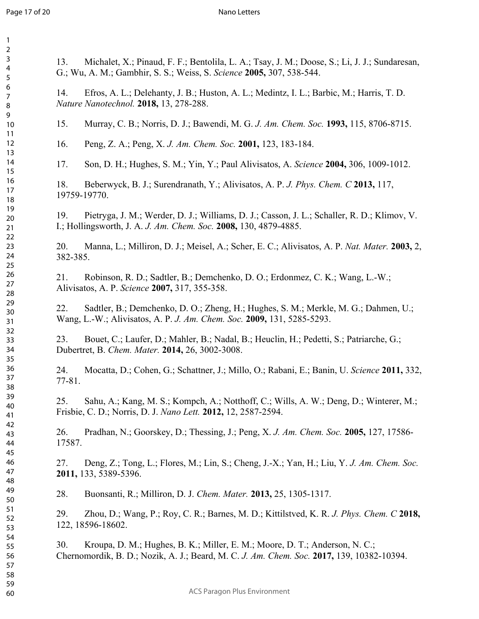Page 17 of 20

#### Nano Letters

| 1                             |  |
|-------------------------------|--|
| $\overline{c}$                |  |
| 3                             |  |
| 4                             |  |
| 5                             |  |
|                               |  |
| 6                             |  |
|                               |  |
| 8                             |  |
| 9                             |  |
| 10                            |  |
| 1<br>$\mathbf{1}$             |  |
|                               |  |
| 1<br>$\overline{\mathcal{L}}$ |  |
| 3<br>1                        |  |
| 4<br>1                        |  |
| 15                            |  |
| 16                            |  |
| 1                             |  |
| 18                            |  |
| 19                            |  |
|                               |  |
| 20                            |  |
| $\overline{21}$               |  |
| $^{22}$                       |  |
| 23                            |  |
| $\frac{24}{5}$                |  |
| 25                            |  |
|                               |  |
| 26                            |  |
| 27                            |  |
| 28                            |  |
| 29                            |  |
| 30                            |  |
| $\overline{31}$               |  |
| $\overline{32}$               |  |
|                               |  |
| 33                            |  |
| 34                            |  |
| 35                            |  |
| 36                            |  |
| 37                            |  |
| 38                            |  |
|                               |  |
| 39                            |  |
| 40                            |  |
| 41                            |  |
| 42                            |  |
| 43                            |  |
| 44                            |  |
| 45                            |  |
|                               |  |
| 46                            |  |
| 47                            |  |
| 48                            |  |
| 49                            |  |
| 50                            |  |
| 51                            |  |
|                               |  |
| 52                            |  |
| 53                            |  |
| 54                            |  |
| 55                            |  |
| 56                            |  |
| 57                            |  |
| 58                            |  |
|                               |  |
| 59                            |  |

13. Michalet, X.; Pinaud, F. F.; Bentolila, L. A.; Tsay, J. M.; Doose, S.; Li, J. J.; Sundaresan, G.; Wu, A. M.; Gambhir, S. S.; Weiss, S. *Science* **2005,** 307, 538-544.

14. Efros, A. L.; Delehanty, J. B.; Huston, A. L.; Medintz, I. L.; Barbic, M.; Harris, T. D. *Nature Nanotechnol.* **2018,** 13, 278-288.

15. Murray, C. B.; Norris, D. J.; Bawendi, M. G. *J. Am. Chem. Soc.* **1993,** 115, 8706-8715.

16. Peng, Z. A.; Peng, X. *J. Am. Chem. Soc.* **2001,** 123, 183-184.

17. Son, D. H.; Hughes, S. M.; Yin, Y.; Paul Alivisatos, A. *Science* **2004,** 306, 1009-1012.

18. Beberwyck, B. J.; Surendranath, Y.; Alivisatos, A. P. *J. Phys. Chem. C* **2013,** 117, 19759-19770.

19. Pietryga, J. M.; Werder, D. J.; Williams, D. J.; Casson, J. L.; Schaller, R. D.; Klimov, V. I.; Hollingsworth, J. A. *J. Am. Chem. Soc.* **2008,** 130, 4879-4885.

20. Manna, L.; Milliron, D. J.; Meisel, A.; Scher, E. C.; Alivisatos, A. P. *Nat. Mater.* **2003,** 2, 382-385.

21. Robinson, R. D.; Sadtler, B.; Demchenko, D. O.; Erdonmez, C. K.; Wang, L.-W.; Alivisatos, A. P. *Science* **2007,** 317, 355-358.

22. Sadtler, B.; Demchenko, D. O.; Zheng, H.; Hughes, S. M.; Merkle, M. G.; Dahmen, U.; Wang, L.-W.; Alivisatos, A. P. *J. Am. Chem. Soc.* **2009,** 131, 5285-5293.

23. Bouet, C.; Laufer, D.; Mahler, B.; Nadal, B.; Heuclin, H.; Pedetti, S.; Patriarche, G.; Dubertret, B. *Chem. Mater.* **2014,** 26, 3002-3008.

24. Mocatta, D.; Cohen, G.; Schattner, J.; Millo, O.; Rabani, E.; Banin, U. *Science* **2011,** 332, 77-81.

25. Sahu, A.; Kang, M. S.; Kompch, A.; Notthoff, C.; Wills, A. W.; Deng, D.; Winterer, M.; Frisbie, C. D.; Norris, D. J. *Nano Lett.* **2012,** 12, 2587-2594.

26. Pradhan, N.; Goorskey, D.; Thessing, J.; Peng, X. *J. Am. Chem. Soc.* **2005,** 127, 17586- 17587.

27. Deng, Z.; Tong, L.; Flores, M.; Lin, S.; Cheng, J.-X.; Yan, H.; Liu, Y. *J. Am. Chem. Soc.*  **2011,** 133, 5389-5396.

28. Buonsanti, R.; Milliron, D. J. *Chem. Mater.* **2013,** 25, 1305-1317.

29. Zhou, D.; Wang, P.; Roy, C. R.; Barnes, M. D.; Kittilstved, K. R. *J. Phys. Chem. C* **2018,** 122, 18596-18602.

30. Kroupa, D. M.; Hughes, B. K.; Miller, E. M.; Moore, D. T.; Anderson, N. C.; Chernomordik, B. D.; Nozik, A. J.; Beard, M. C. *J. Am. Chem. Soc.* **2017,** 139, 10382-10394.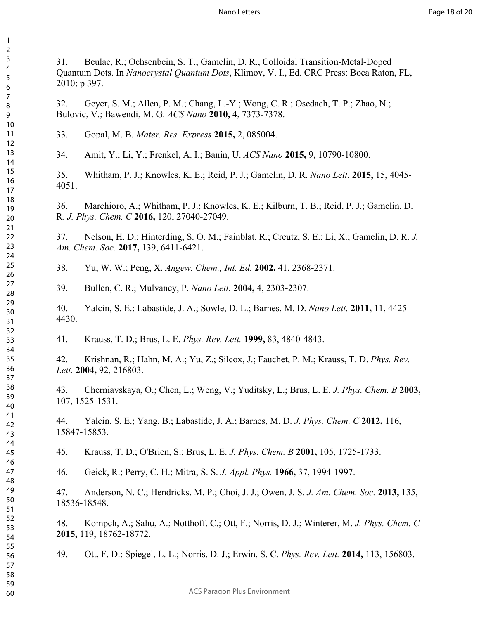31. Beulac, R.; Ochsenbein, S. T.; Gamelin, D. R., Colloidal Transition-Metal-Doped Quantum Dots. In *Nanocrystal Quantum Dots*, Klimov, V. I., Ed. CRC Press: Boca Raton, FL, 2010; p 397.

32. Geyer, S. M.; Allen, P. M.; Chang, L.-Y.; Wong, C. R.; Osedach, T. P.; Zhao, N.; Bulovic, V.; Bawendi, M. G. *ACS Nano* **2010,** 4, 7373-7378.

33. Gopal, M. B. *Mater. Res. Express* **2015,** 2, 085004.

34. Amit, Y.; Li, Y.; Frenkel, A. I.; Banin, U. *ACS Nano* **2015,** 9, 10790-10800.

35. Whitham, P. J.; Knowles, K. E.; Reid, P. J.; Gamelin, D. R. *Nano Lett.* **2015,** 15, 4045- 4051.

36. Marchioro, A.; Whitham, P. J.; Knowles, K. E.; Kilburn, T. B.; Reid, P. J.; Gamelin, D. R. *J. Phys. Chem. C* **2016,** 120, 27040-27049.

37. Nelson, H. D.; Hinterding, S. O. M.; Fainblat, R.; Creutz, S. E.; Li, X.; Gamelin, D. R. *J. Am. Chem. Soc.* **2017,** 139, 6411-6421.

38. Yu, W. W.; Peng, X. *Angew. Chem., Int. Ed.* **2002,** 41, 2368-2371.

39. Bullen, C. R.; Mulvaney, P. *Nano Lett.* **2004,** 4, 2303-2307.

40. Yalcin, S. E.; Labastide, J. A.; Sowle, D. L.; Barnes, M. D. *Nano Lett.* **2011,** 11, 4425- 4430.

41. Krauss, T. D.; Brus, L. E. *Phys. Rev. Lett.* **1999,** 83, 4840-4843.

42. Krishnan, R.; Hahn, M. A.; Yu, Z.; Silcox, J.; Fauchet, P. M.; Krauss, T. D. *Phys. Rev. Lett.* **2004,** 92, 216803.

43. Cherniavskaya, O.; Chen, L.; Weng, V.; Yuditsky, L.; Brus, L. E. *J. Phys. Chem. B* **2003,** 107, 1525-1531.

44. Yalcin, S. E.; Yang, B.; Labastide, J. A.; Barnes, M. D. *J. Phys. Chem. C* **2012,** 116, 15847-15853.

45. Krauss, T. D.; O'Brien, S.; Brus, L. E. *J. Phys. Chem. B* **2001,** 105, 1725-1733.

46. Geick, R.; Perry, C. H.; Mitra, S. S. *J. Appl. Phys.* **1966,** 37, 1994-1997.

47. Anderson, N. C.; Hendricks, M. P.; Choi, J. J.; Owen, J. S. *J. Am. Chem. Soc.* **2013,** 135, 18536-18548.

48. Kompch, A.; Sahu, A.; Notthoff, C.; Ott, F.; Norris, D. J.; Winterer, M. *J. Phys. Chem. C*  **2015,** 119, 18762-18772.

49. Ott, F. D.; Spiegel, L. L.; Norris, D. J.; Erwin, S. C. *Phys. Rev. Lett.* **2014,** 113, 156803.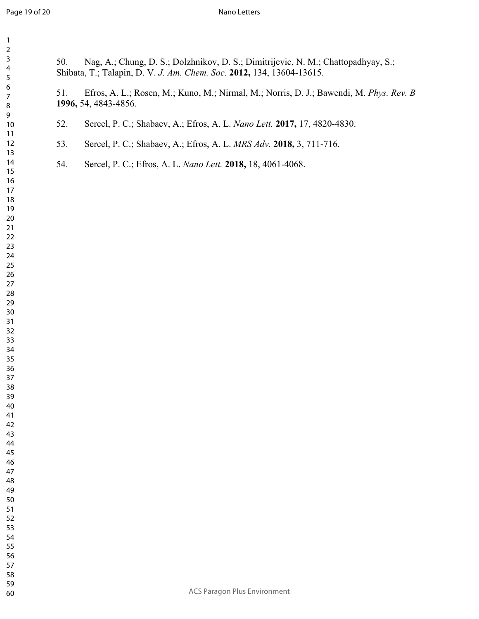| $\mathbf{1}$<br>$\overline{a}$                                                                                                                                                                                     |                                                                                                                       |                                                                                                                                                            |  |
|--------------------------------------------------------------------------------------------------------------------------------------------------------------------------------------------------------------------|-----------------------------------------------------------------------------------------------------------------------|------------------------------------------------------------------------------------------------------------------------------------------------------------|--|
| 3<br>4<br>5<br>6<br>$\overline{7}$<br>8<br>9<br>$10$                                                                                                                                                               | 50.                                                                                                                   | Nag, A.; Chung, D. S.; Dolzhnikov, D. S.; Dimitrijevic, N. M.; Chattopadhyay, S.;<br>Shibata, T.; Talapin, D. V. J. Am. Chem. Soc. 2012, 134, 13604-13615. |  |
|                                                                                                                                                                                                                    | Efros, A. L.; Rosen, M.; Kuno, M.; Nirmal, M.; Norris, D. J.; Bawendi, M. Phys. Rev. B<br>51.<br>1996, 54, 4843-4856. |                                                                                                                                                            |  |
|                                                                                                                                                                                                                    | 52.                                                                                                                   | Sercel, P. C.; Shabaev, A.; Efros, A. L. Nano Lett. 2017, 17, 4820-4830.                                                                                   |  |
| 11<br>12                                                                                                                                                                                                           | 53.                                                                                                                   | Sercel, P. C.; Shabaev, A.; Efros, A. L. MRS Adv. 2018, 3, 711-716.                                                                                        |  |
| 13<br>14<br>15<br>16<br>17<br>18<br>19<br>20<br>21<br>22<br>23<br>24<br>25<br>26<br>27<br>28<br>29<br>$30\,$<br>31<br>32<br>33<br>34<br>35<br>36<br>37<br>38<br>39<br>40<br>41<br>42<br>43<br>44<br>45<br>46<br>47 | 54.                                                                                                                   | Sercel, P. C.; Efros, A. L. Nano Lett. 2018, 18, 4061-4068.                                                                                                |  |
| 48<br>49<br>50                                                                                                                                                                                                     |                                                                                                                       |                                                                                                                                                            |  |
| 51<br>52                                                                                                                                                                                                           |                                                                                                                       |                                                                                                                                                            |  |
| 53<br>54                                                                                                                                                                                                           |                                                                                                                       |                                                                                                                                                            |  |
| 55<br>56                                                                                                                                                                                                           |                                                                                                                       |                                                                                                                                                            |  |
| 57<br>58                                                                                                                                                                                                           |                                                                                                                       |                                                                                                                                                            |  |
| 59<br>60                                                                                                                                                                                                           |                                                                                                                       | <b>ACS Paragon Plus Environment</b>                                                                                                                        |  |